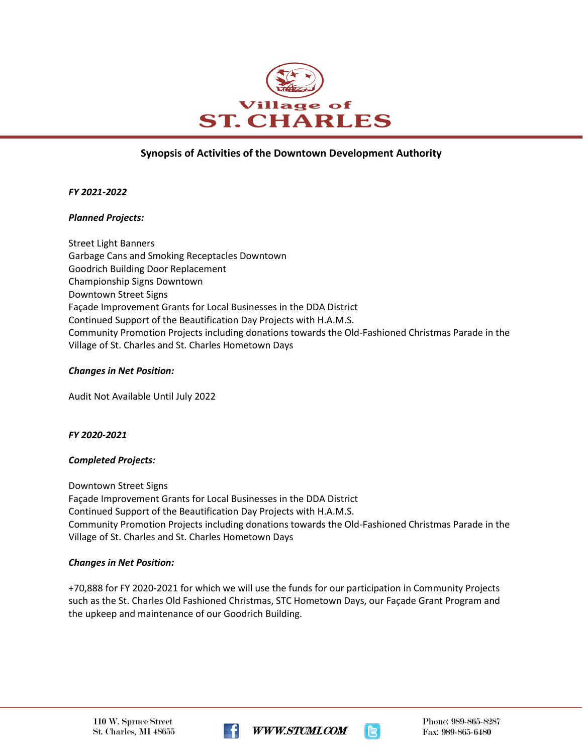

# **Synopsis of Activities of the Downtown Development Authority**

#### *FY 2021-2022*

#### *Planned Projects:*

Street Light Banners Garbage Cans and Smoking Receptacles Downtown Goodrich Building Door Replacement Championship Signs Downtown Downtown Street Signs Façade Improvement Grants for Local Businesses in the DDA District Continued Support of the Beautification Day Projects with H.A.M.S. Community Promotion Projects including donations towards the Old-Fashioned Christmas Parade in the Village of St. Charles and St. Charles Hometown Days

#### *Changes in Net Position:*

Audit Not Available Until July 2022

#### *FY 2020-2021*

### *Completed Projects:*

Downtown Street Signs Façade Improvement Grants for Local Businesses in the DDA District Continued Support of the Beautification Day Projects with H.A.M.S. Community Promotion Projects including donations towards the Old-Fashioned Christmas Parade in the Village of St. Charles and St. Charles Hometown Days

### *Changes in Net Position:*

+70,888 for FY 2020-2021 for which we will use the funds for our participation in Community Projects such as the St. Charles Old Fashioned Christmas, STC Hometown Days, our Façade Grant Program and the upkeep and maintenance of our Goodrich Building.





Phone: 989-865-8287 Fax: 989-865-6480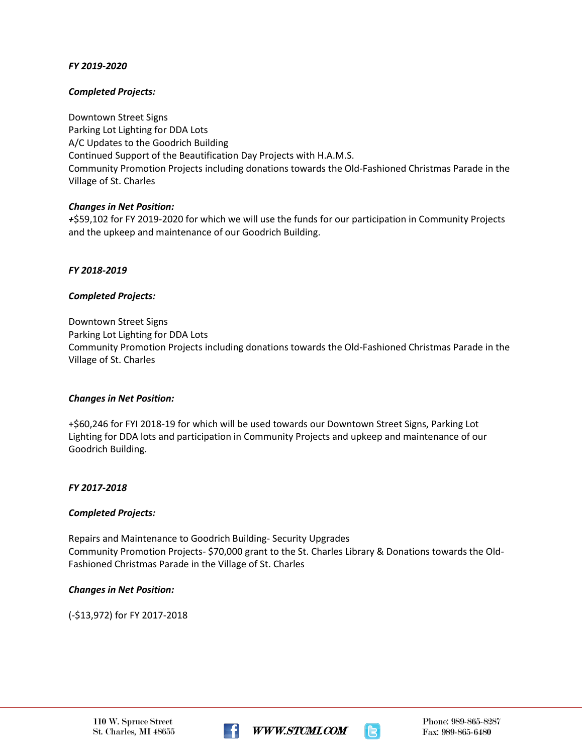## *FY 2019-2020*

## *Completed Projects:*

Downtown Street Signs Parking Lot Lighting for DDA Lots A/C Updates to the Goodrich Building Continued Support of the Beautification Day Projects with H.A.M.S. Community Promotion Projects including donations towards the Old-Fashioned Christmas Parade in the Village of St. Charles

## *Changes in Net Position:*

*+*\$59,102 for FY 2019-2020 for which we will use the funds for our participation in Community Projects and the upkeep and maintenance of our Goodrich Building.

*FY 2018-2019*

### *Completed Projects:*

Downtown Street Signs Parking Lot Lighting for DDA Lots Community Promotion Projects including donations towards the Old-Fashioned Christmas Parade in the Village of St. Charles

### *Changes in Net Position:*

+\$60,246 for FYI 2018-19 for which will be used towards our Downtown Street Signs, Parking Lot Lighting for DDA lots and participation in Community Projects and upkeep and maintenance of our Goodrich Building.

### *FY 2017-2018*

### *Completed Projects:*

Repairs and Maintenance to Goodrich Building- Security Upgrades Community Promotion Projects- \$70,000 grant to the St. Charles Library & Donations towards the Old-Fashioned Christmas Parade in the Village of St. Charles

### *Changes in Net Position:*

(-\$13,972) for FY 2017-2018





Phone: 989-865-8287 Fax: 989-865-6480